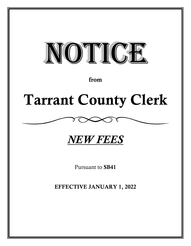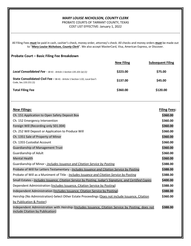## *MARY LOUISE NICHOLSON, COUNTY CLERK*

## PROBATE COURTS OF TARRANT COUNTY, TEXAS COST LIST EFFECTIVE: January 1, 2022

All Filing Fees **must** be paid in cash, cashier's check, money order, attorney's check. All checks and money orders **must** be made out to "*Mary Louise Nicholson, County Clerk*". We also accept MasterCard, Visa, American Express, or Discover.

## **Probate Court – Basic Filing Fee Breakdown**

|                                                                                                     | <b>New Filing</b> | <b>Subsequent Filing</b> |
|-----------------------------------------------------------------------------------------------------|-------------------|--------------------------|
| Local Consolidated Fee - SB 41 - Article 1 Section 135.101 (a) (1)                                  | \$223.00          | \$75.00                  |
| State Consolidated Civil Fee - SB 41 - Article 1 Section 1.02, Local Gov't<br>Code, Sec.133.151 (1) | \$137.00          | \$45.00                  |
| <b>Total Filing Fee</b>                                                                             | \$360.00          | \$120.00                 |

| <b>New Filings:</b>                                                                                                                    | <b>Filing Fees:</b> |
|----------------------------------------------------------------------------------------------------------------------------------------|---------------------|
| Ch. 151 Application to Open Safety Deposit Box                                                                                         | \$360.00            |
|                                                                                                                                        |                     |
| Ch. 152 Emergency Intervention                                                                                                         | \$360.00            |
| Foreign Will (Recording only 501.004)                                                                                                  | \$360.00            |
| Ch. 252 Will Deposit or Application to Produce Will                                                                                    | \$360.00            |
| Ch. 1351 Sale of Property of Minor                                                                                                     | \$360.00            |
| Ch. 1355 Custodial Account                                                                                                             | \$360.00            |
| <b>Guardianship of Management Trust</b>                                                                                                | \$360.00            |
| Guardianship of Adult                                                                                                                  | \$360.00            |
| <b>Mental Health</b>                                                                                                                   | \$360.00            |
| Guardianship of Minor - Includes Issuance and Citation Service by Posting                                                              | \$388.00            |
| Probate of Will for Letters Testamentary - Includes Issuance and Citation Service by Posting                                           | \$388.00            |
| Probate of Will as a Muniment of Title - Includes Issuance and Citation Service by Posting                                             | \$388.00            |
| Small Estates - <i>Includes Issuance, Citation Service by Posting, Judge's Signature, and Certified Copies</i>                         | \$400.00            |
| Dependent Administration (Includes Issuance, Citation Service by Posting)                                                              | \$388.00            |
| Independent Administration (Includes Issuance, Citation Service by Posting)                                                            | \$388.00            |
| Heirship (No Administration)-Select Other Estate Proceedings (Does not include Issuance, Citation                                      | \$360.00            |
| by Publication & Poster)                                                                                                               |                     |
| Independent Administration with Heirship (Includes Issuance, Citation Service by Posting, does not<br>include Citation by Publication) | \$388.00            |